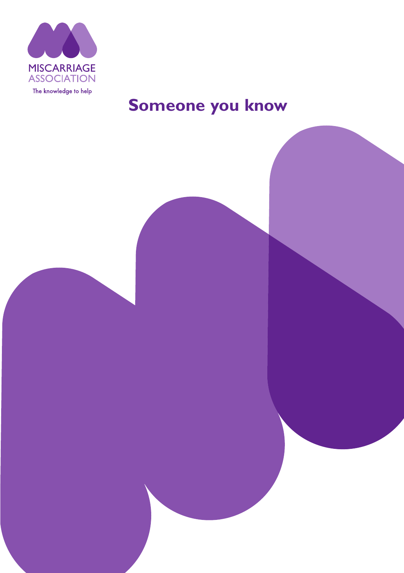

# **Someone you know**

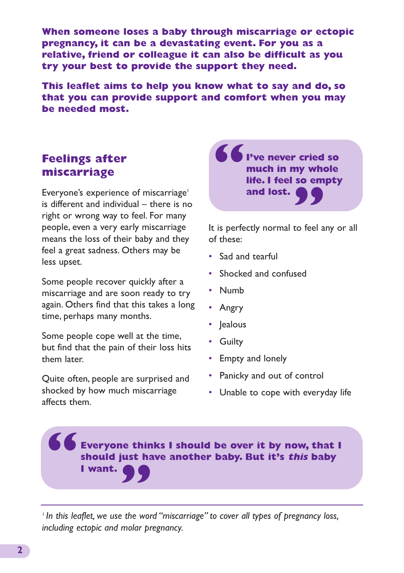**When someone loses a baby through miscarriage or ectopic pregnancy, it can be a devastating event. For you as a relative, friend or colleague it can also be difficult as you try your best to provide the support they need.**

**This leaflet aims to help you know what to say and do, so that you can provide support and comfort when you may be needed most.**

# **Feelings after miscarriage**

Everyone's experience of miscarriage<sup>1</sup> is different and individual – there is no right or wrong way to feel. For many people, even a very early miscarriage means the loss of their baby and they feel a great sadness. Others may be less upset.

Some people recover quickly after a miscarriage and are soon ready to try again. Others find that this takes a long time, perhaps many months.

Some people cope well at the time, but find that the pain of their loss hits them later.

Quite often, people are surprised and shocked by how much miscarriage affects them.



It is perfectly normal to feel any or all of these:

- Sad and tearful
- Shocked and confused
- Numb
- Angry
- Jealous
- Guilty
- Empty and lonely
- Panicky and out of control
- Unable to cope with everyday life

### **Everyone thinks I should be over it by now, that I should just have another baby. But it's this baby " I want. "**

*<sup>1</sup> In this leaflet, we use the word "miscarriage" to cover all types of pregnancy loss, including ectopic and molar pregnancy.*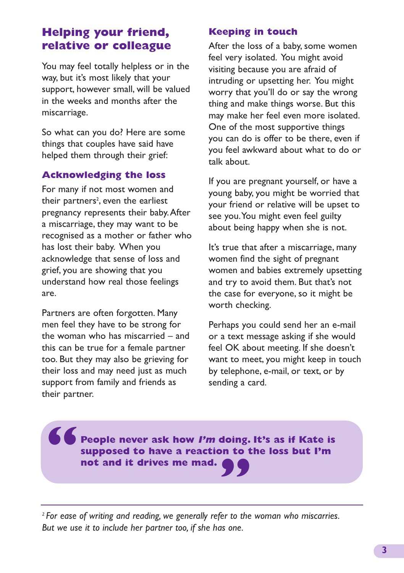## **Helping your friend, relative or colleague**

You may feel totally helpless or in the way, but it's most likely that your support, however small, will be valued in the weeks and months after the miscarriage.

So what can you do? Here are some things that couples have said have helped them through their grief:

### **Acknowledging the loss**

For many if not most women and their partners<sup>2</sup>, even the earliest pregnancy represents their baby.After a miscarriage, they may want to be recognised as a mother or father who has lost their baby. When you acknowledge that sense of loss and grief, you are showing that you understand how real those feelings are.

Partners are often forgotten. Many men feel they have to be strong for the woman who has miscarried – and this can be true for a female partner too. But they may also be grieving for their loss and may need just as much support from family and friends as their partner.

### **Keeping in touch**

After the loss of a baby, some women feel very isolated. You might avoid visiting because you are afraid of intruding or upsetting her. You might worry that you'll do or say the wrong thing and make things worse. But this may make her feel even more isolated. One of the most supportive things you can do is offer to be there, even if you feel awkward about what to do or talk about.

If you are pregnant yourself, or have a young baby, you might be worried that your friend or relative will be upset to see you.You might even feel guilty about being happy when she is not.

It's true that after a miscarriage, many women find the sight of pregnant women and babies extremely upsetting and try to avoid them. But that's not the case for everyone, so it might be worth checking.

Perhaps you could send her an e-mail or a text message asking if she would feel OK about meeting. If she doesn't want to meet, you might keep in touch by telephone, e-mail, or text, or by sending a card.

**People never ask how I'm doing. It's as if Kate is supposed to have a reaction to the loss but I'm " not and it drives me mad. "**

*<sup>2</sup> For ease of writing and reading, we generally refer to the woman who miscarries. But we use it to include her partner too, if she has one.*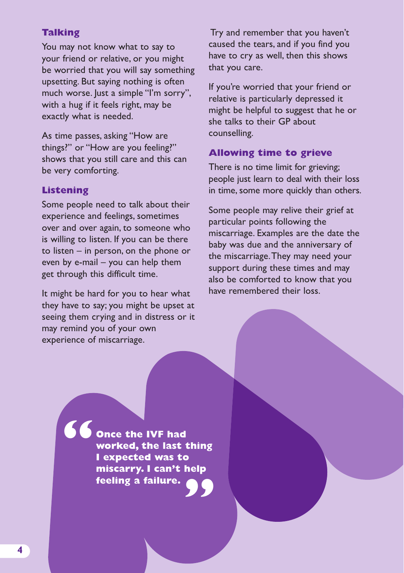### **Talking**

You may not know what to say to your friend or relative, or you might be worried that you will say something upsetting. But saying nothing is often much worse. lust a simple "I'm sorry", with a hug if it feels right, may be exactly what is needed.

As time passes, asking "How are things?" or "How are you feeling?" shows that you still care and this can be very comforting.

#### **Listening**

Some people need to talk about their experience and feelings, sometimes over and over again, to someone who is willing to listen. If you can be there to listen – in person, on the phone or even by e-mail – you can help them get through this difficult time.

It might be hard for you to hear what they have to say; you might be upset at seeing them crying and in distress or it may remind you of your own experience of miscarriage.

Try and remember that you haven't caused the tears, and if you find you have to cry as well, then this shows that you care.

If you're worried that your friend or relative is particularly depressed it might be helpful to suggest that he or she talks to their GP about counselling.

#### **Allowing time to grieve**

There is no time limit for grieving; people just learn to deal with their loss in time, some more quickly than others.

Some people may relive their grief at particular points following the miscarriage. Examples are the date the baby was due and the anniversary of the miscarriage.They may need your support during these times and may also be comforted to know that you have remembered their loss.

**Once the IVF had worked, the last thing I expected was to miscarry. I can't help " feeling a failure. "**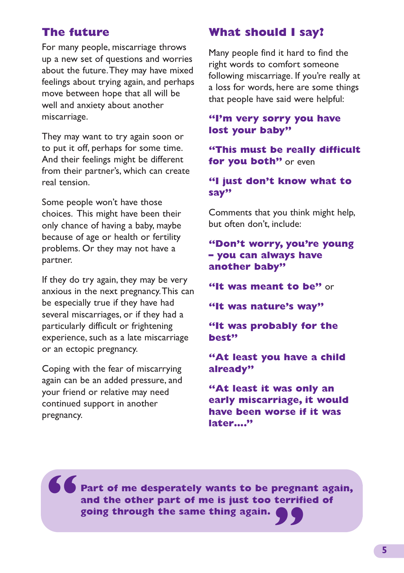## **The future**

For many people, miscarriage throws up a new set of questions and worries about the future.They may have mixed feelings about trying again, and perhaps move between hope that all will be well and anxiety about another miscarriage.

They may want to try again soon or to put it off, perhaps for some time. And their feelings might be different from their partner's, which can create real tension.

Some people won't have those choices. This might have been their only chance of having a baby, maybe because of age or health or fertility problems. Or they may not have a partner.

If they do try again, they may be very anxious in the next pregnancy.This can be especially true if they have had several miscarriages, or if they had a particularly difficult or frightening experience, such as a late miscarriage or an ectopic pregnancy.

Coping with the fear of miscarrying again can be an added pressure, and your friend or relative may need continued support in another pregnancy.

### **What should I say?**

Many people find it hard to find the right words to comfort someone following miscarriage. If you're really at a loss for words, here are some things that people have said were helpful:

#### **"I'm very sorry you have lost your baby"**

**"This must be really difficult for you both"** or even

### **"I just don't know what to say"**

Comments that you think might help, but often don't, include:

### **"Don't worry, you're young – you can always have another baby"**

**"It was meant to be"** or

**"It was nature's way"**

**"It was probably for the best"**

**"At least you have a child already"**

**"At least it was only an early miscarriage, it would have been worse if it was later…."**

**Part of me desperately wants to be pregnant again, and the other part of me is just too terrified of " going through the same thing again. "**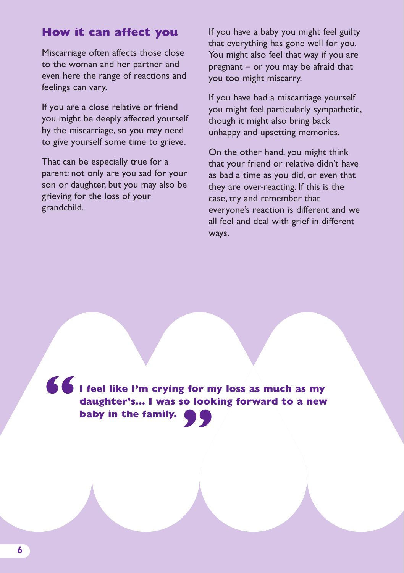### **How it can affect you**

Miscarriage often affects those close to the woman and her partner and even here the range of reactions and feelings can vary.

If you are a close relative or friend you might be deeply affected yourself by the miscarriage, so you may need to give yourself some time to grieve.

That can be especially true for a parent: not only are you sad for your son or daughter, but you may also be grieving for the loss of your grandchild.

If you have a baby you might feel guilty that everything has gone well for you. You might also feel that way if you are pregnant – or you may be afraid that you too might miscarry.

If you have had a miscarriage yourself you might feel particularly sympathetic, though it might also bring back unhappy and upsetting memories.

On the other hand, you might think that your friend or relative didn't have as bad a time as you did, or even that they are over-reacting. If this is the case, try and remember that everyone's reaction is different and we all feel and deal with grief in different ways.

**I feel like I'm crying for my loss as much as my daughter's... I** was so looking forward to a new baby in the family. **" baby in the family.**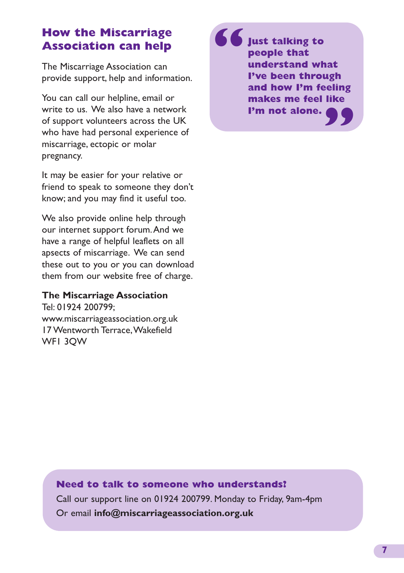## **How the Miscarriage Association can help**

The Miscarriage Association can provide support, help and information.

You can call our helpline, email or write to us. We also have a network of support volunteers across the UK who have had personal experience of miscarriage, ectopic or molar pregnancy.

It may be easier for your relative or friend to speak to someone they don't know; and you may find it useful too.

We also provide online help through our internet support forum.And we have a range of helpful leaflets on all apsects of miscarriage. We can send these out to you or you can download them from our website free of charge.

### **The Miscarriage Association**

Tel: 01924 200799; www.miscarriageassociation.org.uk 17 Wentworth Terrace,Wakefield WF1 3QW

**Just talking to people that understand what I've been through and how I'm feeling makes me feel like I'm not alone. " "**

### **Need to talk to someone who understands?**

Call our support line on 01924 200799. Monday to Friday, 9am-4pm Or email **info@miscarriageassociation.org.uk**